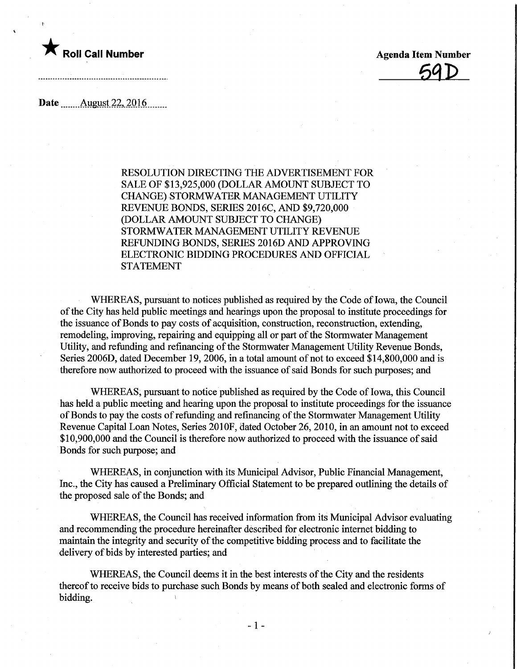

59D

Date........ Aygyst.22,.20.16.

RESOLUTION DIRECTING THE ADVERTISEMENT FOR SALE OF \$13,925,000 (DOLLAR AMOUNT SUBJECT TO CHANGE) STORMWATER MANAGEMENT UTILITY REVENUE BONDS, SERIES 2016C, AND \$9,720,000 (DOLLAR AMOUNT SUBJECT TO CHANGE) STORMWATER MANAGEMENT UTILITY REVENUE REFUNDING BONDS, SERIES 2016D AND APPROVING ELECTRONIC BIDDING PROCEDURES AND OFFICIAL STATEMENT

WHEREAS, pursuant to notices published as required by the Code of Iowa, the Council of the City has held public meetings and hearings upon the proposal to institute proceedings for the issuance of Bonds to pay costs of acquisition, construction, reconstruction, extending, remodeling, improving, repairing and equipping all or part of the Stormwater Management Utility, and refunding and refinancing of the Stormwater Management Utility Revenue Bonds, Series 2006D, dated December 19, 2006, in a total amount of not to exceed \$14,800,000 and is therefore now authorized to proceed with the issuance of said Bonds for such purposes; and

WHEREAS, pursuant to notice published as required by the Code of Iowa, this Council has held a public meeting and hearing upon the proposal to institute proceedings for the issuance of Bonds to pay the costs of refunding and refinancing of the Stormwater Management Utility Revenue Capital Loan Notes, Series 2010F, dated October 26, 2010, in an amount not to exceed \$10,900,000 and the Council is therefore now authorized to proceed with the issuance of said Bonds for such purpose; and

WHEREAS, in conjunction with its Municipal Advisor, Public Financial Management, Inc., the City has caused a Preliminary Official Statement to be prepared outlining the details of the proposed sale of the Bonds; and

WHEREAS, the Council has received information from its Municipal Advisor evaluating and recommending the procedure hereinafter described for electronic internet bidding to maintain the integrity and security of the competitive bidding process and to facilitate the delivery of bids by interested parties; and

WHEREAS, the Council deems it in the best interests of the City and the residents thereof to receive bids to purchase such Bonds by means of both sealed and electronic forms of bidding. »

-1-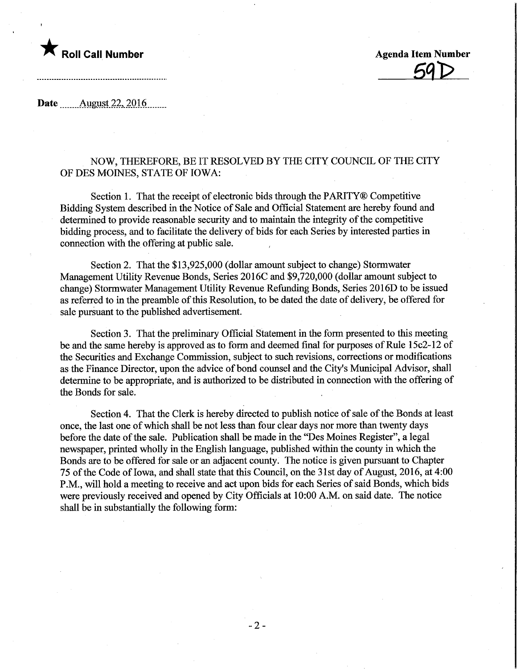## $\bigstar$  Roll Call Number  $\qquad$  Agenda Item Number

Date August  $22,2016$ 

### NOW, THEREFORE, BE IT RESOLVED BY THE CITY COUNCIL OF THE CITY OF DES MOINES, STATE OF IOWA:

Section 1. That the receipt of electronic bids through the PARITY® Competitive Bidding System described in the Notice of Sale and Official Statement are hereby found and determined to provide reasonable security and to maintain the integrity of the competitive bidding process, and to facilitate the delivery of bids for each Series by interested parties in connection with the offering at public sale.

Section 2. That the \$13,925,000 (dollar amount subject to change) Stormwater Management Utility Revenue Bonds, Series 2016C and \$9,720,000 (dollar amount subject to change) Stormwater Management Utility Revenue Refunding Bonds, Series 2016D to be issued as referred to in the preamble of this Resolution, to be dated the date of delivery, be offered for sale pursuant to the published advertisement.

Section 3. That the preliminary Official Statement in the form presented to this meeting be and the same hereby is approved as to form and deemed final for purposes of Rule 15c2-12 of the Securities and Exchange Commission, subject to such revisions, corrections or modifications as the Finance Director, upon the advice of bond counsel and the City's Municipal Advisor, shall determine to be appropriate, and is authorized to be distributed in connection with the offering of the Bonds for sale.

Section 4. That the Clerk is hereby directed to publish notice of sale of the Bonds at least once, the last one of which shall be not less than four clear days nor more than twenty days before the date of the sale. Publication shall be made in the "Des Moines Register", a legal newspaper, printed wholly in the English language, published within the county in which the Bonds are to be offered for sale or an adjacent county. The notice is given pursuant to Chapter 75 of the Code of Iowa, and shall state that this Council, on the 31st day of August, 2016, at 4:00 P.M., will hold a meeting to receive and act upon bids for each Series of said Bonds, which bids were previously received and opened by City Officials at 10:00 A.M. on said date. The notice shall be in substantially the following form:

-2-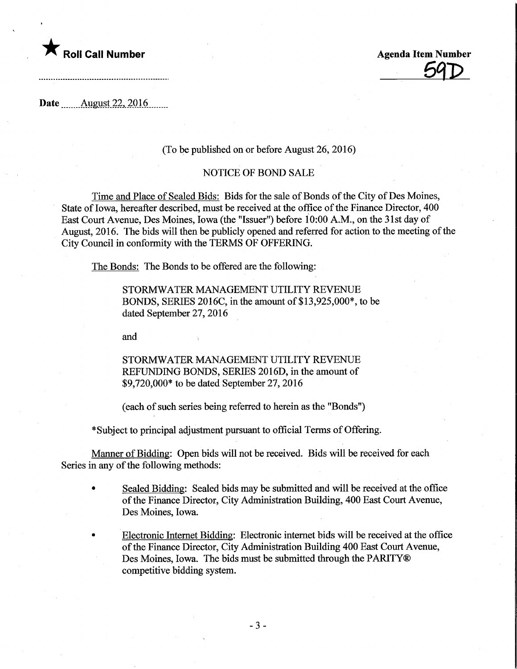

59D

Date........ August.22,.2016.

#### (To be published on or before August 26, 2016)

### NOTICE OF BOND SALE

Time and Place of Sealed Bids: Bids for the sale of Bonds of the City of Des Moines, State of Iowa, hereafter described, must be received at the office of the Finance Director, 400 East Court Avenue, Des Moines, Iowa (the "Issuer") before 10:00 A.M., on the 31st day of August, 2016. The bids will then be publicly opened and referred for action to the meeting of the City Council in conformity with the TERMS OF OFFERING.

The Bonds: The Bonds to be offered are the following:

STORMWATER MANAGEMENT UTILITY REVENUE BONDS, SERIES 2016C, inthe amount of \$13,925,000\*, to be dated September 27, 2016

and

STORMWATER MANAGEMENT UTILITY REVENUE REFUNDING BONDS, SERIES 2016D, in the amount of \$9,720,000\* to be dated September 27,2016

(each of such series being referred to herein as the "Bonds")

\* Subject to principal adjustment pursuant to official Terms of Offering.

Manner of Bidding: Open bids will not be received. Bids will be received for each Series in any of the following methods:

- Sealed Bidding: Sealed bids may be submitted and will be received at the office of the Finance Director, City Administration Building, 400 East Court Avenue, Des Moines, Iowa.
- Electronic Internet Bidding: Electronic internet bids will be received at the office of the Finance Director, City Administration Building 400 East Court Avenue, Des Moines, Iowa. The bids must be submitted through the PARITY® competitive bidding system.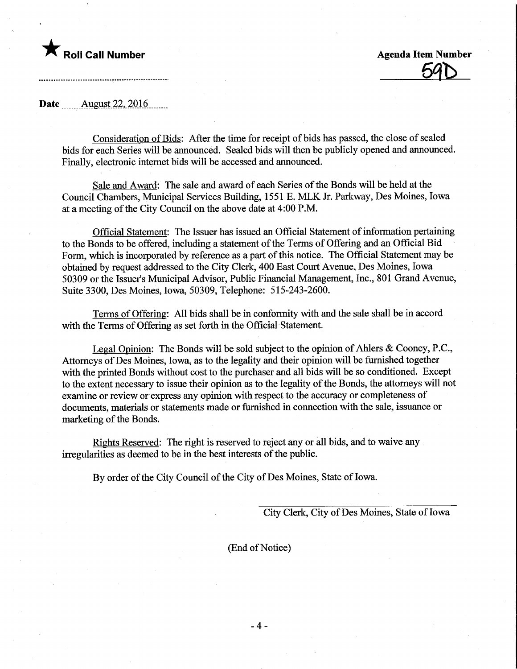# **Agenda Item Number Agenda Item Number** Agenda Item Number

<u>59D</u>

Date ........August.22,.2016.

Consideration of Bids: After the time for receipt of bids has passed, the close of sealed bids for each Series will be announced. Sealed bids will then be publicly opened and announced. Finally, electronic internet bids will be accessed and announced.

Sale and Award: The sale and award of each Series of the Bonds will be held at the Council Chambers, Municipal Services Building, 1551 E. MLK Jr. Parkway, Des Moines, Iowa at a meeting of the City Council on the above date at 4:00 P.M.

Official Statement: The Issuer has issued an Official Statement of information pertaining to the Bonds to be offered, including a statement of the Terms of Offering and an Official Bid Form, which is incorporated by reference as a part of this notice. The Official Statement may be obtained by request addressed to the City Clerk, 400 East Court Avenue, Des Moines, Iowa 50309 or the Issuer's Municipal Advisor, Public Financial Management, Inc., 801 Grand Avenue, Suite 3300, Des Moines, Iowa, 50309, Telephone: 515-243-2600.

Terms of Offering: All bids shall be in conformity with and the sale shall be in accord with the Terms of Offering as set forth in the Official Statement.

Legal Opinion: The Bonds will be sold subject to the opinion of Ahlers  $\&$  Cooney, P.C., Attorneys of Des Moines, Iowa, as to the legality and their opinion will be furnished together with the printed Bonds without cost to the purchaser and all bids will be so conditioned. Except to the extent necessary to issue their opinion as to the legality of the Bonds, the attorneys will not examine or review or express any opinion with respect to the accuracy or completeness of documents, materials or statements made or furnished in connection with the sale, issuance or marketing of the Bonds.

Rights Reserved: The right is reserved to reject any or all bids, and to waive any irregularities as deemed to be in the best interests of the public.

By order of the City Council of the City of Des Moines, State of Iowa.

City Clerk, City of Des Moines, State of Iowa

(End of Notice)